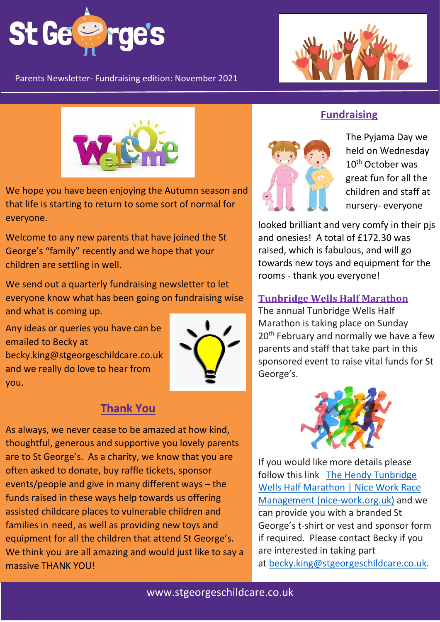

Parents Newsletter- Fundraising edition: November 2021





We hope you have been enjoying the Autumn season and that life is starting to return to some sort of normal for everyone.

Welcome to any new parents that have joined the St George's "family" recently and we hope that your children are settling in well.

We send out a quarterly fundraising newsletter to let everyone know what has been going on fundraising wise and what is coming up.

Any ideas or queries you have can be emailed to Becky at becky.king@stgeorgeschildcare.co.uk and we really do love to hear from you.



## **Thank You**

As always, we never cease to be amazed at how kind, thoughtful, generous and supportive you lovely parents are to St George's. As a charity, we know that you are often asked to donate, buy raffle tickets, sponsor events/people and give in many different ways – the funds raised in these ways help towards us offering assisted childcare places to vulnerable children and families in need, as well as providing new toys and equipment for all the children that attend St George's. We think you are all amazing and would just like to say a massive THANK YOU!

## **Fundraising**



The Pyjama Day we held on Wednesday 10<sup>th</sup> October was great fun for all the children and staff at nursery- everyone

and onesies! A total of £172.30 was raised, which is fabulous, and will go towards new toys and equipment for the rooms - thank you everyone! looked brilliant and very comfy in their pjs

### **Tunbridge Wells Half Marathon**

The annual Tunbridge Wells Half Marathon is taking place on Sunday  $20$  and  $\mu$  and normally we have parents and sta 20<sup>th</sup> February and normally we have a few parents and staff that take part in this sponsored event to raise vital funds for St George's.



Any ideas or queries you have can be  $\frac{1}{2}$ emailed to Becky at the Becky at the Becky at the Becky at the Becky at the Becky at the Becky at the Becky at the Becky at the Becky at the Becky at the Becky at the Becky at the Becky at the Becky at the Becky **Wells Half Marathon | Nice Work Race** Management (nice-work.org.uk) and we If you would like more details please follow this link The Hendy [Tunbridge](https://www.nice-work.org.uk/races/tunbridge-wells-half-marathon/2022#:~:text=The%20Hendy%20Tunbridge%20Wells%20Half%20Marathon%202022%20Sunday,St%20John%27s%20Road%2C%20Tunbridge%20Wells%2C%20Kent%2C%20TN4%209TX) can provide you with a branded St George's t-shirt or vest and sponsor form if required. Please contact Becky if you are interested in taking part at [becky.king@stgeorgeschildcare.co.uk.](mailto:becky.king@stgeorgeschildcare.co.uk)